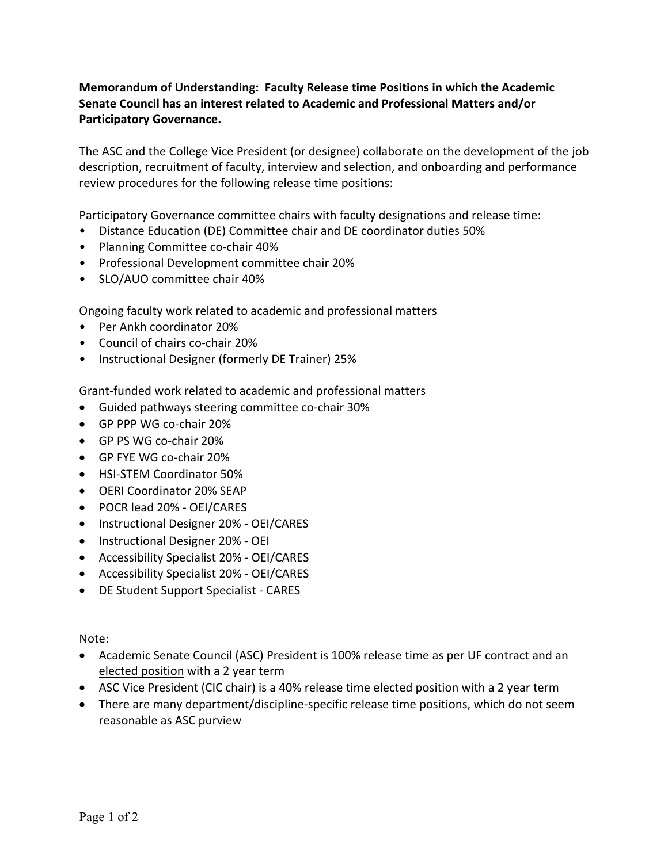## **Memorandum of Understanding: Faculty Release time Positions in which the Academic Senate Council has an interest related to Academic and Professional Matters and/or Participatory Governance.**

The ASC and the College Vice President (or designee) collaborate on the development of the job description, recruitment of faculty, interview and selection, and onboarding and performance review procedures for the following release time positions:

Participatory Governance committee chairs with faculty designations and release time:

- Distance Education (DE) Committee chair and DE coordinator duties 50%
- Planning Committee co-chair 40%
- Professional Development committee chair 20%
- SLO/AUO committee chair 40%

Ongoing faculty work related to academic and professional matters

- Per Ankh coordinator 20%
- Council of chairs co-chair 20%
- Instructional Designer (formerly DE Trainer) 25%

Grant-funded work related to academic and professional matters

- Guided pathways steering committee co-chair 30%
- GP PPP WG co-chair 20%
- GP PS WG co-chair 20%
- GP FYE WG co-chair 20%
- HSI-STEM Coordinator 50%
- OERI Coordinator 20% SEAP
- POCR lead 20% OEI/CARES
- Instructional Designer 20% OEI/CARES
- Instructional Designer 20% OEI
- Accessibility Specialist 20% OEI/CARES
- Accessibility Specialist 20% OEI/CARES
- DE Student Support Specialist CARES

Note:

- Academic Senate Council (ASC) President is 100% release time as per UF contract and an elected position with a 2 year term
- ASC Vice President (CIC chair) is a 40% release time elected position with a 2 year term
- There are many department/discipline-specific release time positions, which do not seem reasonable as ASC purview